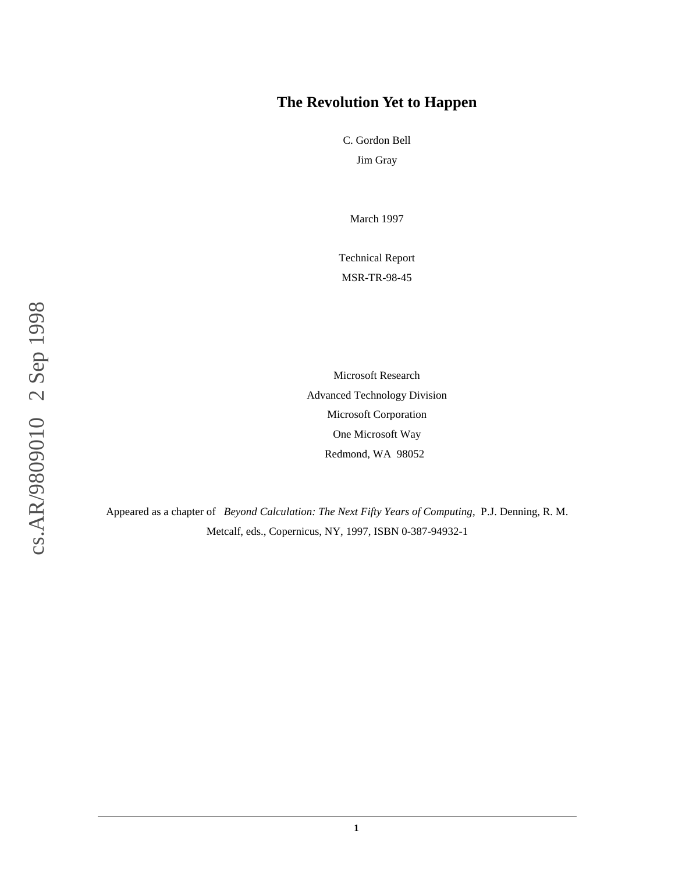### **The Revolution Yet to Happen**

C. Gordon Bell Jim Gray

March 1997

Technical Report MSR-TR-98-45

cs.AR/9809010 2 Sep 1998 cs.AR/9809010 2 Sep 1998

Microsoft Research Advanced Technology Division Microsoft Corporation One Microsoft Way Redmond, WA 98052

Appeared as a chapter of *Beyond Calculation: The Next Fifty Years of Computing*, P.J. Denning, R. M. Metcalf, eds., Copernicus, NY, 1997, ISBN 0-387-94932-1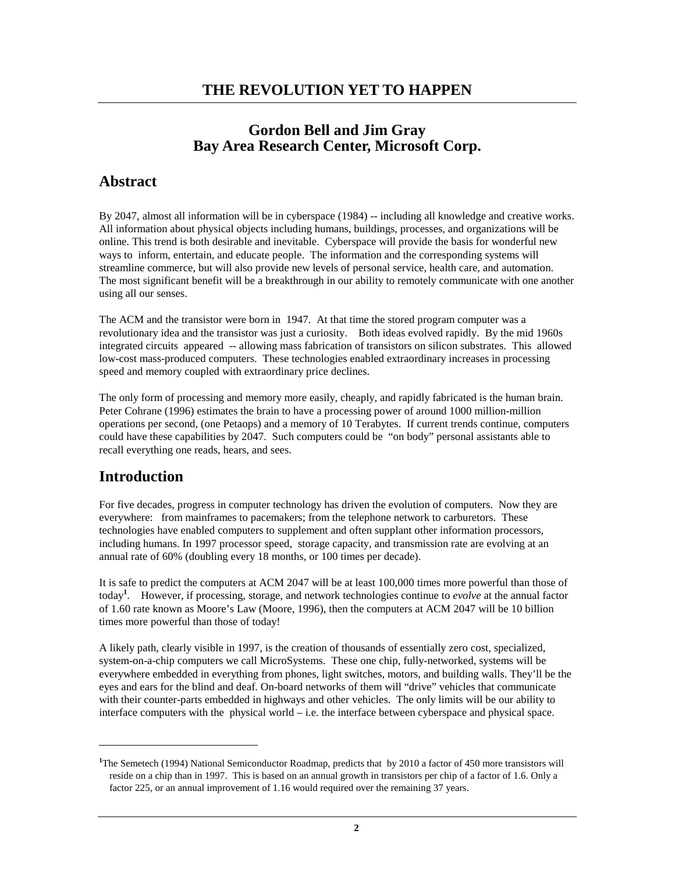## **Gordon Bell and Jim Gray Bay Area Research Center, Microsoft Corp.**

## **Abstract**

By 2047, almost all information will be in cyberspace (1984) -- including all knowledge and creative works. All information about physical objects including humans, buildings, processes, and organizations will be online. This trend is both desirable and inevitable. Cyberspace will provide the basis for wonderful new ways to inform, entertain, and educate people. The information and the corresponding systems will streamline commerce, but will also provide new levels of personal service, health care, and automation. The most significant benefit will be a breakthrough in our ability to remotely communicate with one another using all our senses.

The ACM and the transistor were born in 1947. At that time the stored program computer was a revolutionary idea and the transistor was just a curiosity. Both ideas evolved rapidly. By the mid 1960s integrated circuits appeared -- allowing mass fabrication of transistors on silicon substrates. This allowed low-cost mass-produced computers. These technologies enabled extraordinary increases in processing speed and memory coupled with extraordinary price declines.

The only form of processing and memory more easily, cheaply, and rapidly fabricated is the human brain. Peter Cohrane (1996) estimates the brain to have a processing power of around 1000 million-million operations per second, (one Petaops) and a memory of 10 Terabytes. If current trends continue, computers could have these capabilities by 2047. Such computers could be "on body" personal assistants able to recall everything one reads, hears, and sees.

# **Introduction**

-

For five decades, progress in computer technology has driven the evolution of computers. Now they are everywhere: from mainframes to pacemakers; from the telephone network to carburetors. These technologies have enabled computers to supplement and often supplant other information processors, including humans. In 1997 processor speed, storage capacity, and transmission rate are evolving at an annual rate of 60% (doubling every 18 months, or 100 times per decade).

It is safe to predict the computers at ACM 2047 will be at least 100,000 times more powerful than those of today**<sup>1</sup>** . However, if processing, storage, and network technologies continue to *evolve* at the annual factor of 1.60 rate known as Moore's Law (Moore, 1996), then the computers at ACM 2047 will be 10 billion times more powerful than those of today!

A likely path, clearly visible in 1997, is the creation of thousands of essentially zero cost, specialized, system-on-a-chip computers we call MicroSystems. These one chip, fully-networked, systems will be everywhere embedded in everything from phones, light switches, motors, and building walls. They'll be the eyes and ears for the blind and deaf. On-board networks of them will "drive" vehicles that communicate with their counter-parts embedded in highways and other vehicles. The only limits will be our ability to interface computers with the physical world – i.e. the interface between cyberspace and physical space.

**<sup>1</sup>**The Semetech (1994) National Semiconductor Roadmap, predicts that by 2010 a factor of 450 more transistors will reside on a chip than in 1997. This is based on an annual growth in transistors per chip of a factor of 1.6. Only a factor 225, or an annual improvement of 1.16 would required over the remaining 37 years.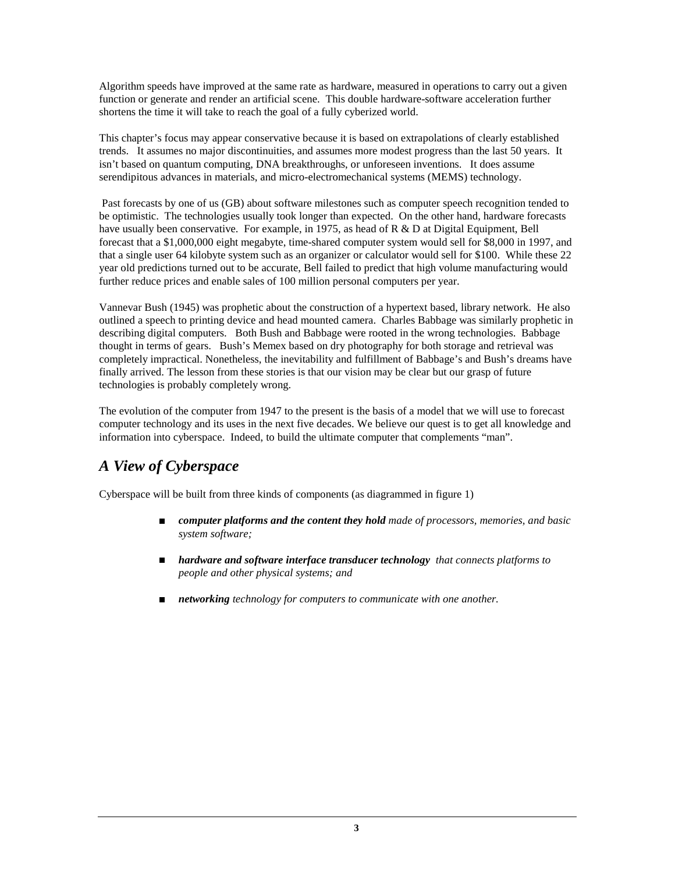Algorithm speeds have improved at the same rate as hardware, measured in operations to carry out a given function or generate and render an artificial scene. This double hardware-software acceleration further shortens the time it will take to reach the goal of a fully cyberized world.

This chapter's focus may appear conservative because it is based on extrapolations of clearly established trends. It assumes no major discontinuities, and assumes more modest progress than the last 50 years. It isn't based on quantum computing, DNA breakthroughs, or unforeseen inventions. It does assume serendipitous advances in materials, and micro-electromechanical systems (MEMS) technology.

 Past forecasts by one of us (GB) about software milestones such as computer speech recognition tended to be optimistic. The technologies usually took longer than expected. On the other hand, hardware forecasts have usually been conservative. For example, in 1975, as head of R & D at Digital Equipment, Bell forecast that a \$1,000,000 eight megabyte, time-shared computer system would sell for \$8,000 in 1997, and that a single user 64 kilobyte system such as an organizer or calculator would sell for \$100. While these 22 year old predictions turned out to be accurate, Bell failed to predict that high volume manufacturing would further reduce prices and enable sales of 100 million personal computers per year.

Vannevar Bush (1945) was prophetic about the construction of a hypertext based, library network. He also outlined a speech to printing device and head mounted camera. Charles Babbage was similarly prophetic in describing digital computers. Both Bush and Babbage were rooted in the wrong technologies. Babbage thought in terms of gears. Bush's Memex based on dry photography for both storage and retrieval was completely impractical. Nonetheless, the inevitability and fulfillment of Babbage's and Bush's dreams have finally arrived. The lesson from these stories is that our vision may be clear but our grasp of future technologies is probably completely wrong.

The evolution of the computer from 1947 to the present is the basis of a model that we will use to forecast computer technology and its uses in the next five decades. We believe our quest is to get all knowledge and information into cyberspace. Indeed, to build the ultimate computer that complements "man".

# *A View of Cyberspace*

Cyberspace will be built from three kinds of components (as diagrammed in figure 1)

- <sup>n</sup> *computer platforms and the content they hold made of processors, memories, and basic system software;*
- *hardware and software interface transducer technology that connects platforms to people and other physical systems; and*
- <sup>n</sup> *networking technology for computers to communicate with one another.*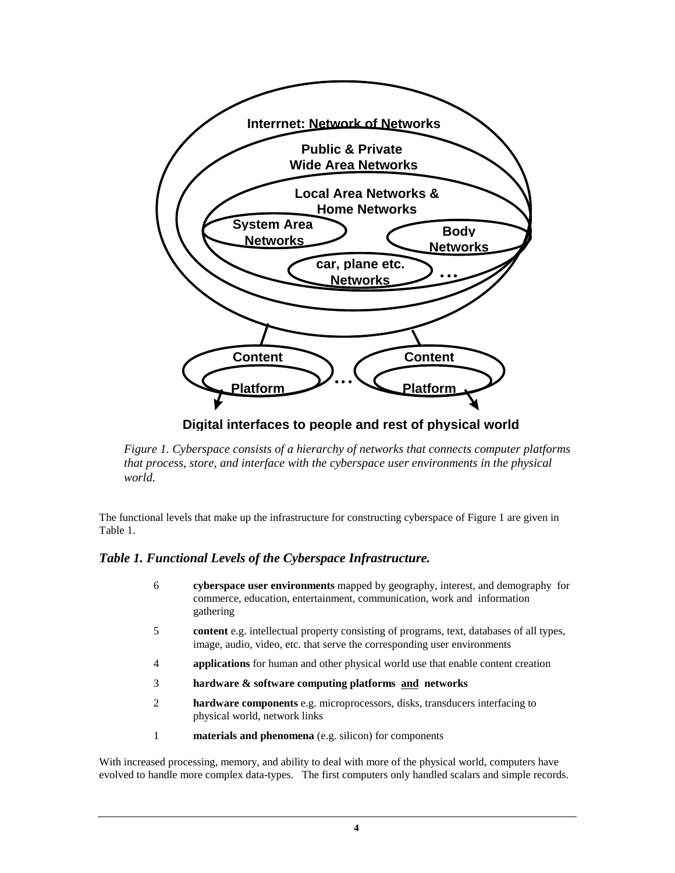

**Digital interfaces to people and rest of physical world**

*Figure 1. Cyberspace consists of a hierarchy of networks that connects computer platforms that process, store, and interface with the cyberspace user environments in the physical world.*

The functional levels that make up the infrastructure for constructing cyberspace of Figure 1 are given in Table 1.

### *Table 1. Functional Levels of the Cyberspace Infrastructure.*

- 6 **cyberspace user environments** mapped by geography, interest, and demography for commerce, education, entertainment, communication, work and information gathering
- 5 **content** e.g. intellectual property consisting of programs, text, databases of all types, image, audio, video, etc. that serve the corresponding user environments
- 4 **applications** for human and other physical world use that enable content creation
- 3 **hardware & software computing platforms and networks**
- 2 **hardware components** e.g. microprocessors, disks, transducers interfacing to physical world, network links
- 1 **materials and phenomena** (e.g. silicon) for components

With increased processing, memory, and ability to deal with more of the physical world, computers have evolved to handle more complex data-types. The first computers only handled scalars and simple records.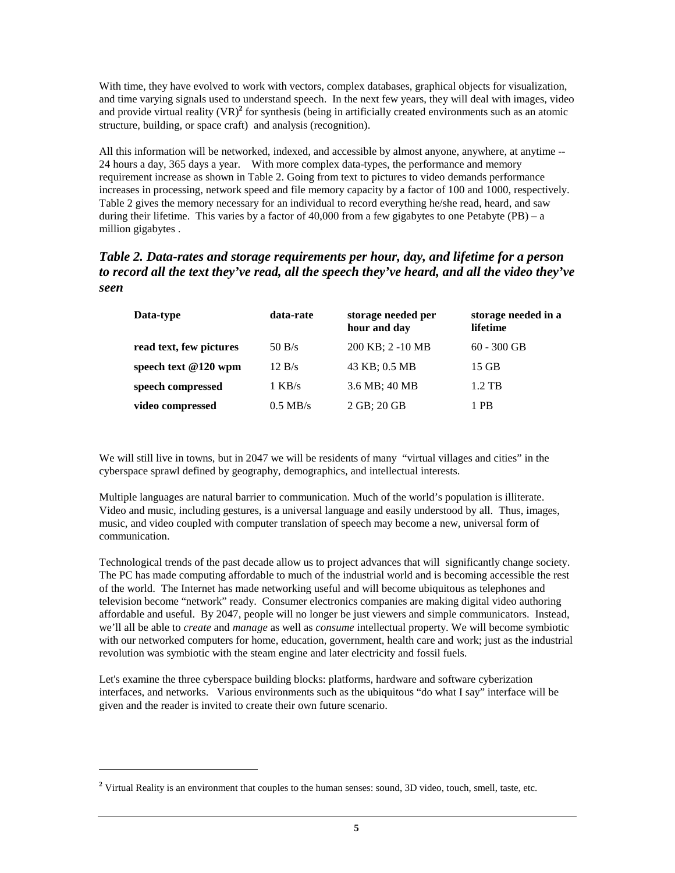With time, they have evolved to work with vectors, complex databases, graphical objects for visualization, and time varying signals used to understand speech. In the next few years, they will deal with images, video and provide virtual reality (VR)<sup>2</sup> for synthesis (being in artificially created environments such as an atomic structure, building, or space craft) and analysis (recognition).

All this information will be networked, indexed, and accessible by almost anyone, anywhere, at anytime -- 24 hours a day, 365 days a year. With more complex data-types, the performance and memory requirement increase as shown in Table 2. Going from text to pictures to video demands performance increases in processing, network speed and file memory capacity by a factor of 100 and 1000, respectively. Table 2 gives the memory necessary for an individual to record everything he/she read, heard, and saw during their lifetime. This varies by a factor of  $40,000$  from a few gigabytes to one Petabyte (PB) – a million gigabytes .

### *Table 2. Data-rates and storage requirements per hour, day, and lifetime for a person to record all the text they've read, all the speech they've heard, and all the video they've seen*

| Data-type               | data-rate  | storage needed per<br>hour and day | storage needed in a<br>lifetime |
|-------------------------|------------|------------------------------------|---------------------------------|
| read text, few pictures | 50 B/s     | 200 KB; 2 -10 MB                   | $60 - 300$ GB                   |
| speech text $@120$ wpm  | 12 B/s     | 43 KB; 0.5 MB                      | 15 GB                           |
| speech compressed       | $1$ KB/s   | 3.6 MB; 40 MB                      | $1.2$ TB                        |
| video compressed        | $0.5$ MB/s | 2 GB; 20 GB                        | 1 PB                            |

We will still live in towns, but in 2047 we will be residents of many "virtual villages and cities" in the cyberspace sprawl defined by geography, demographics, and intellectual interests.

Multiple languages are natural barrier to communication. Much of the world's population is illiterate. Video and music, including gestures, is a universal language and easily understood by all. Thus, images, music, and video coupled with computer translation of speech may become a new, universal form of communication.

Technological trends of the past decade allow us to project advances that will significantly change society. The PC has made computing affordable to much of the industrial world and is becoming accessible the rest of the world. The Internet has made networking useful and will become ubiquitous as telephones and television become "network" ready. Consumer electronics companies are making digital video authoring affordable and useful. By 2047, people will no longer be just viewers and simple communicators. Instead, we'll all be able to *create* and *manage* as well as *consume* intellectual property. We will become symbiotic with our networked computers for home, education, government, health care and work; just as the industrial revolution was symbiotic with the steam engine and later electricity and fossil fuels.

Let's examine the three cyberspace building blocks: platforms, hardware and software cyberization interfaces, and networks. Various environments such as the ubiquitous "do what I say" interface will be given and the reader is invited to create their own future scenario.

 $\overline{a}$ 

<sup>&</sup>lt;sup>2</sup> Virtual Reality is an environment that couples to the human senses: sound, 3D video, touch, smell, taste, etc.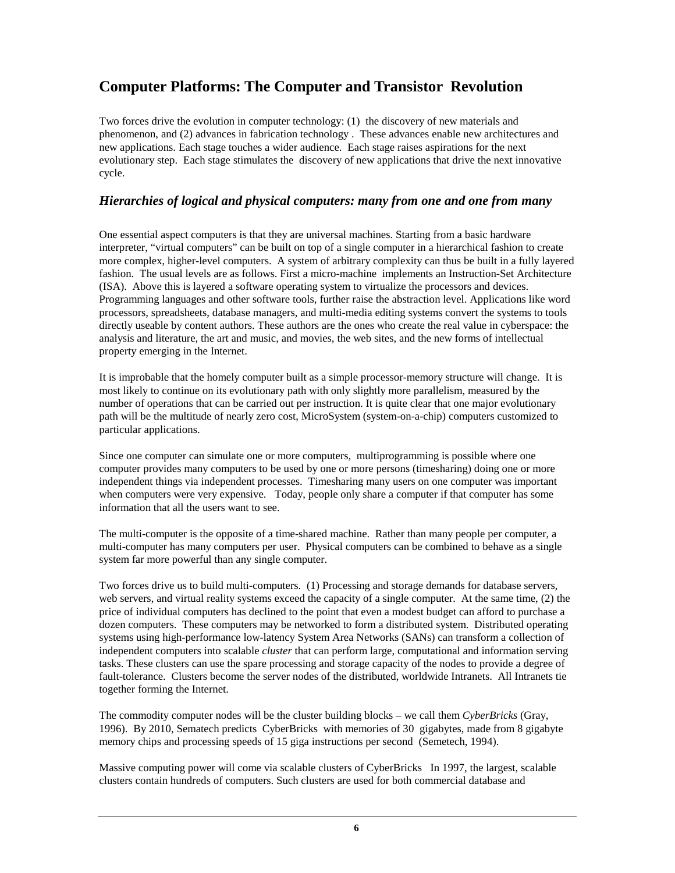# **Computer Platforms: The Computer and Transistor Revolution**

Two forces drive the evolution in computer technology: (1) the discovery of new materials and phenomenon, and (2) advances in fabrication technology . These advances enable new architectures and new applications. Each stage touches a wider audience. Each stage raises aspirations for the next evolutionary step. Each stage stimulates the discovery of new applications that drive the next innovative cycle.

### *Hierarchies of logical and physical computers: many from one and one from many*

One essential aspect computers is that they are universal machines. Starting from a basic hardware interpreter, "virtual computers" can be built on top of a single computer in a hierarchical fashion to create more complex, higher-level computers. A system of arbitrary complexity can thus be built in a fully layered fashion. The usual levels are as follows. First a micro-machine implements an Instruction-Set Architecture (ISA). Above this is layered a software operating system to virtualize the processors and devices. Programming languages and other software tools, further raise the abstraction level. Applications like word processors, spreadsheets, database managers, and multi-media editing systems convert the systems to tools directly useable by content authors. These authors are the ones who create the real value in cyberspace: the analysis and literature, the art and music, and movies, the web sites, and the new forms of intellectual property emerging in the Internet.

It is improbable that the homely computer built as a simple processor-memory structure will change. It is most likely to continue on its evolutionary path with only slightly more parallelism, measured by the number of operations that can be carried out per instruction. It is quite clear that one major evolutionary path will be the multitude of nearly zero cost, MicroSystem (system-on-a-chip) computers customized to particular applications.

Since one computer can simulate one or more computers, multiprogramming is possible where one computer provides many computers to be used by one or more persons (timesharing) doing one or more independent things via independent processes. Timesharing many users on one computer was important when computers were very expensive. Today, people only share a computer if that computer has some information that all the users want to see.

The multi-computer is the opposite of a time-shared machine. Rather than many people per computer, a multi-computer has many computers per user. Physical computers can be combined to behave as a single system far more powerful than any single computer.

Two forces drive us to build multi-computers. (1) Processing and storage demands for database servers, web servers, and virtual reality systems exceed the capacity of a single computer. At the same time, (2) the price of individual computers has declined to the point that even a modest budget can afford to purchase a dozen computers. These computers may be networked to form a distributed system. Distributed operating systems using high-performance low-latency System Area Networks (SANs) can transform a collection of independent computers into scalable *cluster* that can perform large, computational and information serving tasks. These clusters can use the spare processing and storage capacity of the nodes to provide a degree of fault-tolerance. Clusters become the server nodes of the distributed, worldwide Intranets. All Intranets tie together forming the Internet.

The commodity computer nodes will be the cluster building blocks – we call them *CyberBricks* (Gray, 1996). By 2010, Sematech predicts CyberBricks with memories of 30 gigabytes, made from 8 gigabyte memory chips and processing speeds of 15 giga instructions per second (Semetech, 1994).

Massive computing power will come via scalable clusters of CyberBricks In 1997, the largest, scalable clusters contain hundreds of computers. Such clusters are used for both commercial database and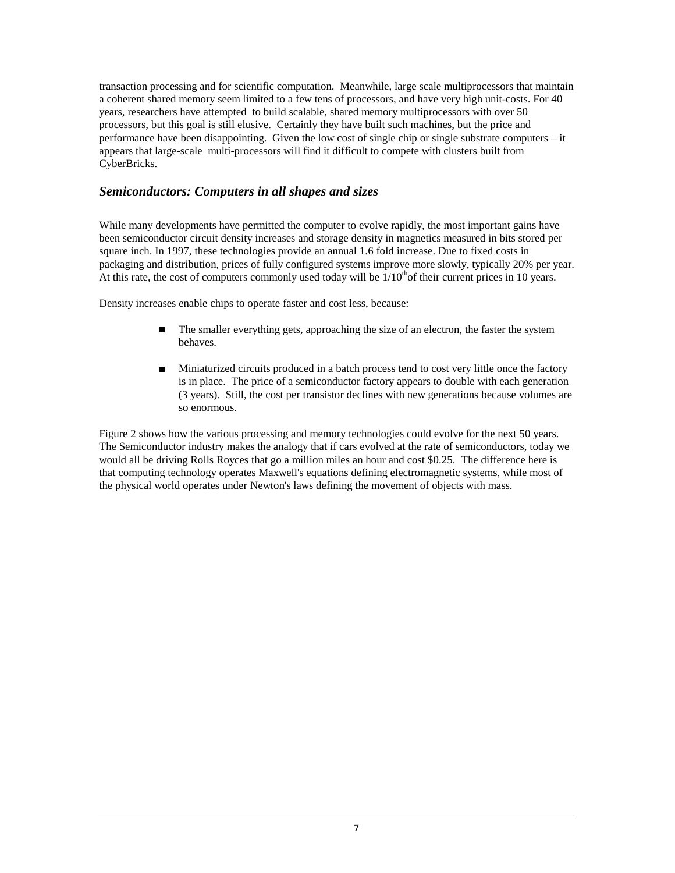transaction processing and for scientific computation. Meanwhile, large scale multiprocessors that maintain a coherent shared memory seem limited to a few tens of processors, and have very high unit-costs. For 40 years, researchers have attempted to build scalable, shared memory multiprocessors with over 50 processors, but this goal is still elusive. Certainly they have built such machines, but the price and performance have been disappointing. Given the low cost of single chip or single substrate computers – it appears that large-scale multi-processors will find it difficult to compete with clusters built from CyberBricks.

### *Semiconductors: Computers in all shapes and sizes*

While many developments have permitted the computer to evolve rapidly, the most important gains have been semiconductor circuit density increases and storage density in magnetics measured in bits stored per square inch. In 1997, these technologies provide an annual 1.6 fold increase. Due to fixed costs in packaging and distribution, prices of fully configured systems improve more slowly, typically 20% per year. At this rate, the cost of computers commonly used today will be  $1/10<sup>th</sup>$  of their current prices in 10 years.

Density increases enable chips to operate faster and cost less, because:

- <sup>n</sup> The smaller everything gets, approaching the size of an electron, the faster the system behaves.
- <sup>n</sup> Miniaturized circuits produced in a batch process tend to cost very little once the factory is in place. The price of a semiconductor factory appears to double with each generation (3 years). Still, the cost per transistor declines with new generations because volumes are so enormous.

Figure 2 shows how the various processing and memory technologies could evolve for the next 50 years. The Semiconductor industry makes the analogy that if cars evolved at the rate of semiconductors, today we would all be driving Rolls Royces that go a million miles an hour and cost \$0.25. The difference here is that computing technology operates Maxwell's equations defining electromagnetic systems, while most of the physical world operates under Newton's laws defining the movement of objects with mass.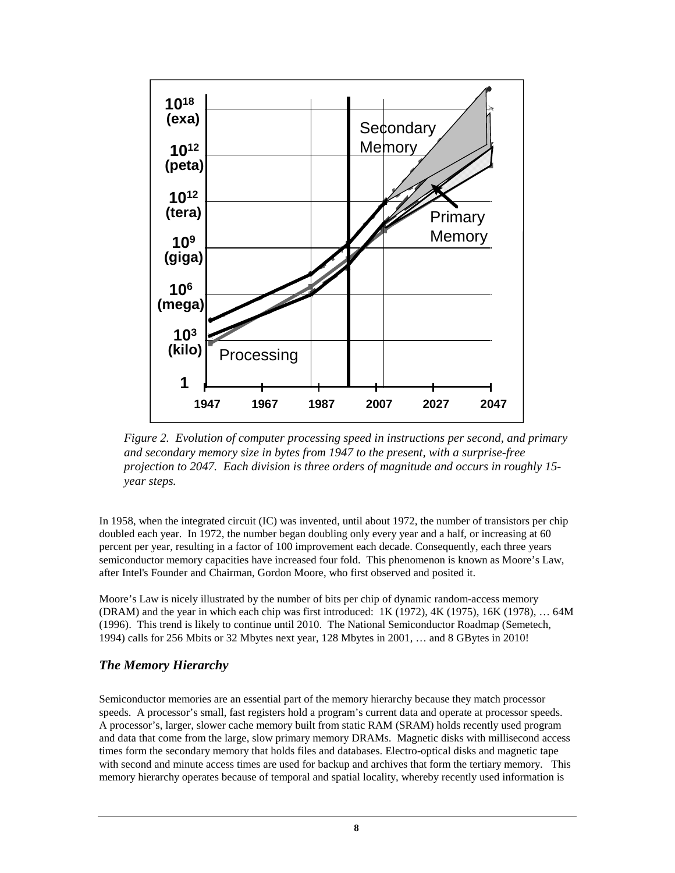

*Figure 2. Evolution of computer processing speed in instructions per second, and primary and secondary memory size in bytes from 1947 to the present, with a surprise-free projection to 2047. Each division is three orders of magnitude and occurs in roughly 15 year steps.*

In 1958, when the integrated circuit (IC) was invented, until about 1972, the number of transistors per chip doubled each year. In 1972, the number began doubling only every year and a half, or increasing at 60 percent per year, resulting in a factor of 100 improvement each decade. Consequently, each three years semiconductor memory capacities have increased four fold. This phenomenon is known as Moore's Law, after Intel's Founder and Chairman, Gordon Moore, who first observed and posited it.

Moore's Law is nicely illustrated by the number of bits per chip of dynamic random-access memory (DRAM) and the year in which each chip was first introduced: 1K (1972), 4K (1975), 16K (1978), … 64M (1996). This trend is likely to continue until 2010. The National Semiconductor Roadmap (Semetech, 1994) calls for 256 Mbits or 32 Mbytes next year, 128 Mbytes in 2001, … and 8 GBytes in 2010!

#### *The Memory Hierarchy*

Semiconductor memories are an essential part of the memory hierarchy because they match processor speeds. A processor's small, fast registers hold a program's current data and operate at processor speeds. A processor's, larger, slower cache memory built from static RAM (SRAM) holds recently used program and data that come from the large, slow primary memory DRAMs. Magnetic disks with millisecond access times form the secondary memory that holds files and databases. Electro-optical disks and magnetic tape with second and minute access times are used for backup and archives that form the tertiary memory. This memory hierarchy operates because of temporal and spatial locality, whereby recently used information is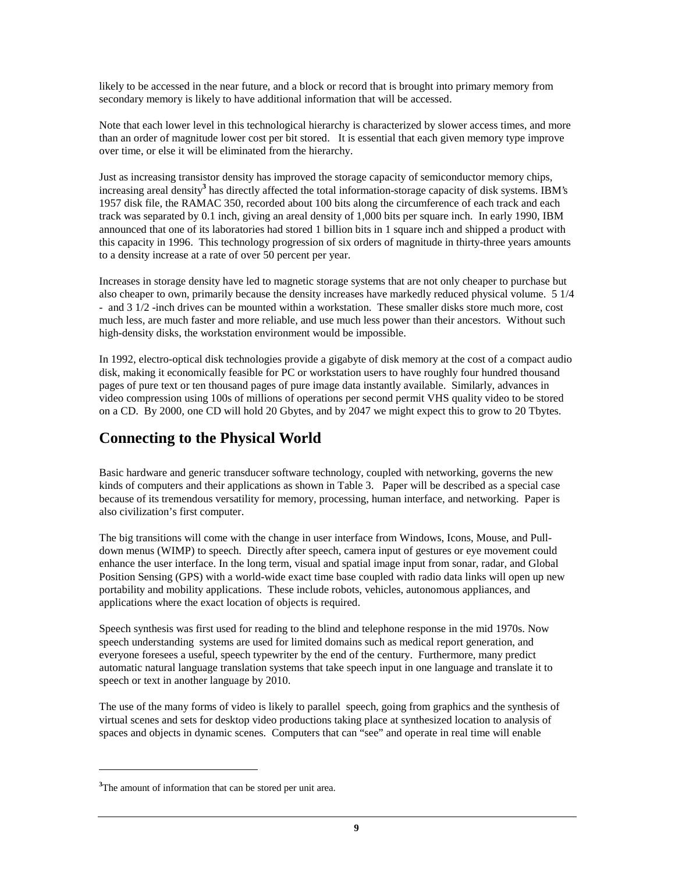likely to be accessed in the near future, and a block or record that is brought into primary memory from secondary memory is likely to have additional information that will be accessed.

Note that each lower level in this technological hierarchy is characterized by slower access times, and more than an order of magnitude lower cost per bit stored. It is essential that each given memory type improve over time, or else it will be eliminated from the hierarchy.

Just as increasing transistor density has improved the storage capacity of semiconductor memory chips, increasing areal density**<sup>3</sup>** has directly affected the total information-storage capacity of disk systems. IBM's 1957 disk file, the RAMAC 350, recorded about 100 bits along the circumference of each track and each track was separated by 0.1 inch, giving an areal density of 1,000 bits per square inch. In early 1990, IBM announced that one of its laboratories had stored 1 billion bits in 1 square inch and shipped a product with this capacity in 1996. This technology progression of six orders of magnitude in thirty-three years amounts to a density increase at a rate of over 50 percent per year.

Increases in storage density have led to magnetic storage systems that are not only cheaper to purchase but also cheaper to own, primarily because the density increases have markedly reduced physical volume. 5 1/4 - and 3 1/2 -inch drives can be mounted within a workstation. These smaller disks store much more, cost much less, are much faster and more reliable, and use much less power than their ancestors. Without such high-density disks, the workstation environment would be impossible.

In 1992, electro-optical disk technologies provide a gigabyte of disk memory at the cost of a compact audio disk, making it economically feasible for PC or workstation users to have roughly four hundred thousand pages of pure text or ten thousand pages of pure image data instantly available. Similarly, advances in video compression using 100s of millions of operations per second permit VHS quality video to be stored on a CD. By 2000, one CD will hold 20 Gbytes, and by 2047 we might expect this to grow to 20 Tbytes.

# **Connecting to the Physical World**

Basic hardware and generic transducer software technology, coupled with networking, governs the new kinds of computers and their applications as shown in Table 3. Paper will be described as a special case because of its tremendous versatility for memory, processing, human interface, and networking. Paper is also civilization's first computer.

The big transitions will come with the change in user interface from Windows, Icons, Mouse, and Pulldown menus (WIMP) to speech. Directly after speech, camera input of gestures or eye movement could enhance the user interface. In the long term, visual and spatial image input from sonar, radar, and Global Position Sensing (GPS) with a world-wide exact time base coupled with radio data links will open up new portability and mobility applications. These include robots, vehicles, autonomous appliances, and applications where the exact location of objects is required.

Speech synthesis was first used for reading to the blind and telephone response in the mid 1970s. Now speech understanding systems are used for limited domains such as medical report generation, and everyone foresees a useful, speech typewriter by the end of the century. Furthermore, many predict automatic natural language translation systems that take speech input in one language and translate it to speech or text in another language by 2010.

The use of the many forms of video is likely to parallel speech, going from graphics and the synthesis of virtual scenes and sets for desktop video productions taking place at synthesized location to analysis of spaces and objects in dynamic scenes. Computers that can "see" and operate in real time will enable

 $\overline{a}$ 

**<sup>3</sup>**The amount of information that can be stored per unit area.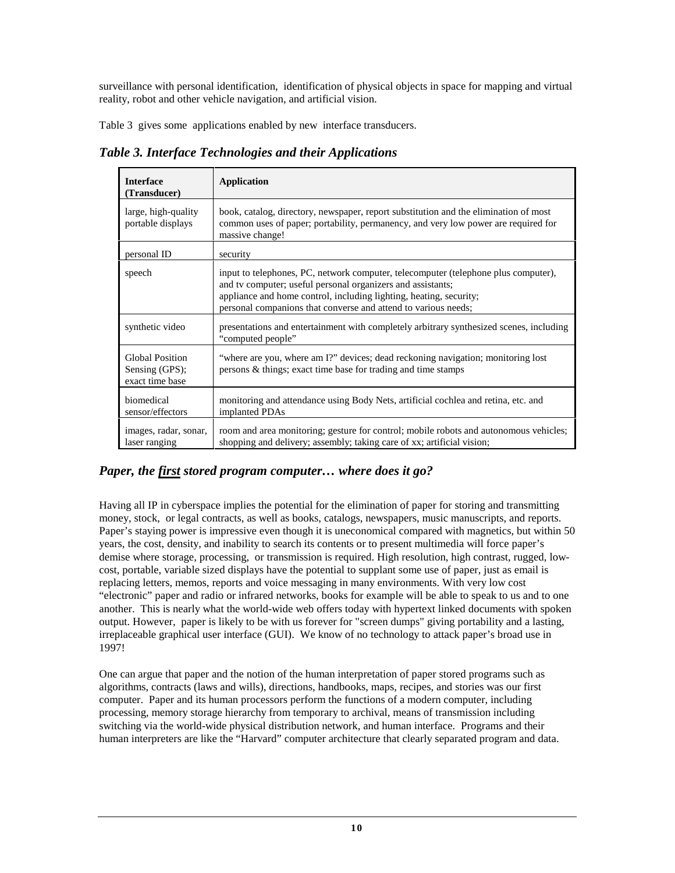surveillance with personal identification, identification of physical objects in space for mapping and virtual reality, robot and other vehicle navigation, and artificial vision.

Table 3 gives some applications enabled by new interface transducers.

*Table 3. Interface Technologies and their Applications*

| <b>Interface</b><br>(Transducer)                            | <b>Application</b>                                                                                                                                                                                                                                                                        |
|-------------------------------------------------------------|-------------------------------------------------------------------------------------------------------------------------------------------------------------------------------------------------------------------------------------------------------------------------------------------|
| large, high-quality<br>portable displays                    | book, catalog, directory, newspaper, report substitution and the elimination of most<br>common uses of paper; portability, permanency, and very low power are required for<br>massive change!                                                                                             |
| personal ID                                                 | security                                                                                                                                                                                                                                                                                  |
| speech                                                      | input to telephones, PC, network computer, telecomputer (telephone plus computer),<br>and tv computer; useful personal organizers and assistants;<br>appliance and home control, including lighting, heating, security;<br>personal companions that converse and attend to various needs; |
| synthetic video                                             | presentations and entertainment with completely arbitrary synthesized scenes, including<br>"computed people"                                                                                                                                                                              |
| <b>Global Position</b><br>Sensing (GPS);<br>exact time base | "where are you, where am I?" devices; dead reckoning navigation; monitoring lost<br>persons & things; exact time base for trading and time stamps                                                                                                                                         |
| biomedical<br>sensor/effectors                              | monitoring and attendance using Body Nets, artificial cochlea and retina, etc. and<br>implanted PDAs                                                                                                                                                                                      |
| images, radar, sonar,<br>laser ranging                      | room and area monitoring; gesture for control; mobile robots and autonomous vehicles;<br>shopping and delivery; assembly; taking care of xx; artificial vision;                                                                                                                           |

### *Paper, the first stored program computer… where does it go?*

Having all IP in cyberspace implies the potential for the elimination of paper for storing and transmitting money, stock, or legal contracts, as well as books, catalogs, newspapers, music manuscripts, and reports. Paper's staying power is impressive even though it is uneconomical compared with magnetics, but within 50 years, the cost, density, and inability to search its contents or to present multimedia will force paper's demise where storage, processing, or transmission is required. High resolution, high contrast, rugged, lowcost, portable, variable sized displays have the potential to supplant some use of paper, just as email is replacing letters, memos, reports and voice messaging in many environments. With very low cost "electronic" paper and radio or infrared networks, books for example will be able to speak to us and to one another. This is nearly what the world-wide web offers today with hypertext linked documents with spoken output. However, paper is likely to be with us forever for "screen dumps" giving portability and a lasting, irreplaceable graphical user interface (GUI). We know of no technology to attack paper's broad use in 1997!

One can argue that paper and the notion of the human interpretation of paper stored programs such as algorithms, contracts (laws and wills), directions, handbooks, maps, recipes, and stories was our first computer. Paper and its human processors perform the functions of a modern computer, including processing, memory storage hierarchy from temporary to archival, means of transmission including switching via the world-wide physical distribution network, and human interface. Programs and their human interpreters are like the "Harvard" computer architecture that clearly separated program and data.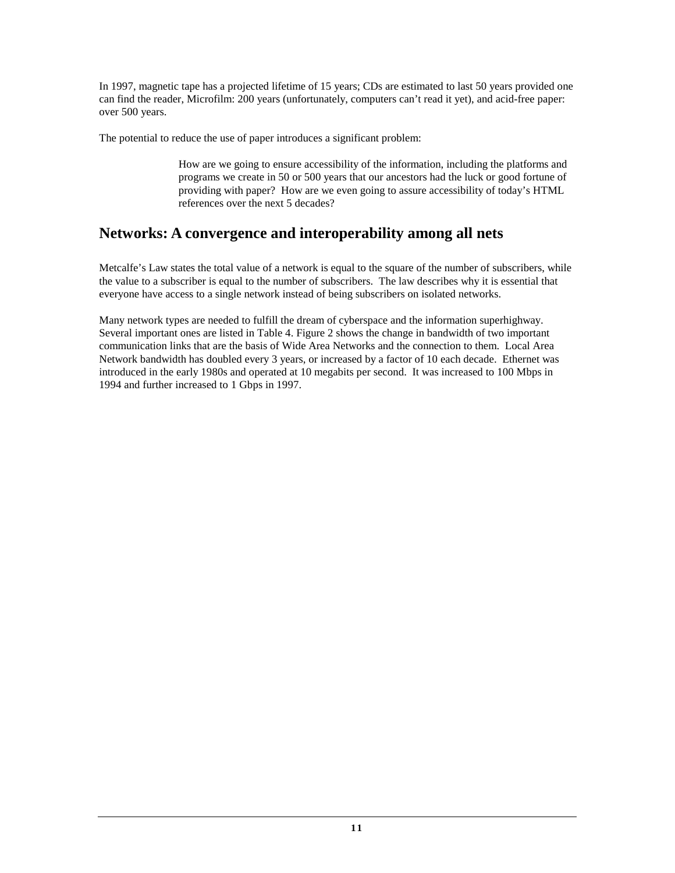In 1997, magnetic tape has a projected lifetime of 15 years; CDs are estimated to last 50 years provided one can find the reader, Microfilm: 200 years (unfortunately, computers can't read it yet), and acid-free paper: over 500 years.

The potential to reduce the use of paper introduces a significant problem:

How are we going to ensure accessibility of the information, including the platforms and programs we create in 50 or 500 years that our ancestors had the luck or good fortune of providing with paper? How are we even going to assure accessibility of today's HTML references over the next 5 decades?

# **Networks: A convergence and interoperability among all nets**

Metcalfe's Law states the total value of a network is equal to the square of the number of subscribers, while the value to a subscriber is equal to the number of subscribers. The law describes why it is essential that everyone have access to a single network instead of being subscribers on isolated networks.

Many network types are needed to fulfill the dream of cyberspace and the information superhighway. Several important ones are listed in Table 4. Figure 2 shows the change in bandwidth of two important communication links that are the basis of Wide Area Networks and the connection to them. Local Area Network bandwidth has doubled every 3 years, or increased by a factor of 10 each decade. Ethernet was introduced in the early 1980s and operated at 10 megabits per second. It was increased to 100 Mbps in 1994 and further increased to 1 Gbps in 1997.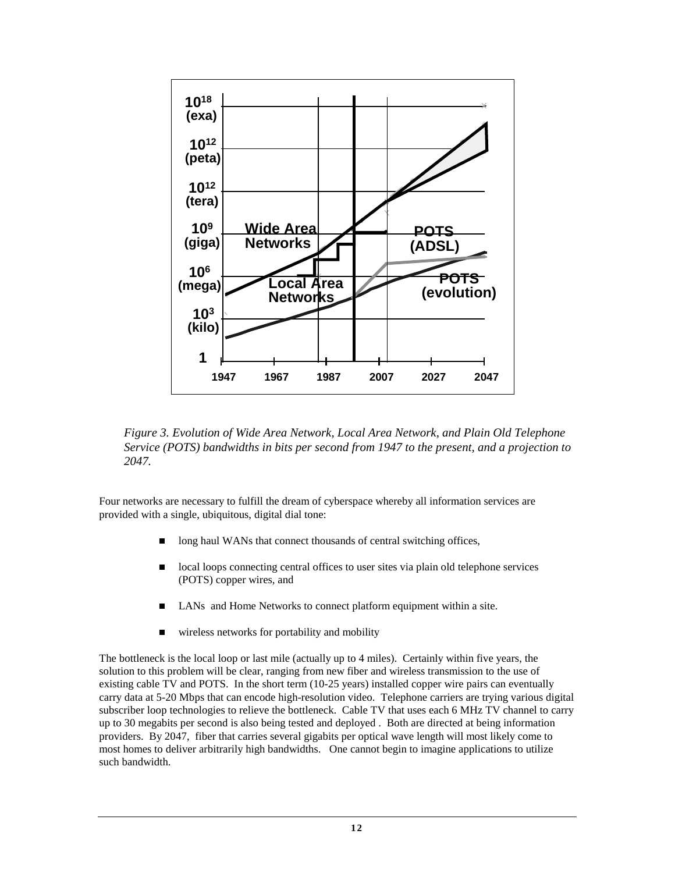

*Figure 3. Evolution of Wide Area Network, Local Area Network, and Plain Old Telephone Service (POTS) bandwidths in bits per second from 1947 to the present, and a projection to 2047.*

Four networks are necessary to fulfill the dream of cyberspace whereby all information services are provided with a single, ubiquitous, digital dial tone:

- long haul WANs that connect thousands of central switching offices,
- n local loops connecting central offices to user sites via plain old telephone services (POTS) copper wires, and
- LANs and Home Networks to connect platform equipment within a site.
- wireless networks for portability and mobility

The bottleneck is the local loop or last mile (actually up to 4 miles). Certainly within five years, the solution to this problem will be clear, ranging from new fiber and wireless transmission to the use of existing cable TV and POTS. In the short term (10-25 years) installed copper wire pairs can eventually carry data at 5-20 Mbps that can encode high-resolution video. Telephone carriers are trying various digital subscriber loop technologies to relieve the bottleneck. Cable TV that uses each 6 MHz TV channel to carry up to 30 megabits per second is also being tested and deployed . Both are directed at being information providers. By 2047, fiber that carries several gigabits per optical wave length will most likely come to most homes to deliver arbitrarily high bandwidths. One cannot begin to imagine applications to utilize such bandwidth.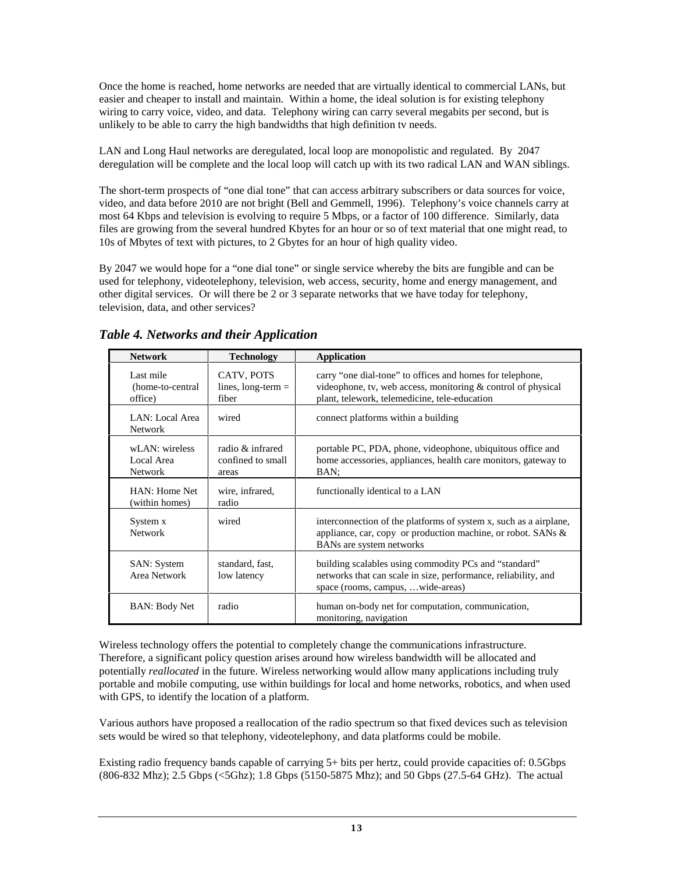Once the home is reached, home networks are needed that are virtually identical to commercial LANs, but easier and cheaper to install and maintain. Within a home, the ideal solution is for existing telephony wiring to carry voice, video, and data. Telephony wiring can carry several megabits per second, but is unlikely to be able to carry the high bandwidths that high definition tv needs.

LAN and Long Haul networks are deregulated, local loop are monopolistic and regulated. By 2047 deregulation will be complete and the local loop will catch up with its two radical LAN and WAN siblings.

The short-term prospects of "one dial tone" that can access arbitrary subscribers or data sources for voice, video, and data before 2010 are not bright (Bell and Gemmell, 1996). Telephony's voice channels carry at most 64 Kbps and television is evolving to require 5 Mbps, or a factor of 100 difference. Similarly, data files are growing from the several hundred Kbytes for an hour or so of text material that one might read, to 10s of Mbytes of text with pictures, to 2 Gbytes for an hour of high quality video.

By 2047 we would hope for a "one dial tone" or single service whereby the bits are fungible and can be used for telephony, videotelephony, television, web access, security, home and energy management, and other digital services. Or will there be 2 or 3 separate networks that we have today for telephony, television, data, and other services?

| <b>Network</b>                                 | <b>Technology</b>                              | <b>Application</b>                                                                                                                                                         |
|------------------------------------------------|------------------------------------------------|----------------------------------------------------------------------------------------------------------------------------------------------------------------------------|
| Last mile<br>(home-to-central)<br>office)      | CATV, POTS<br>lines, $long-term =$<br>fiber    | carry "one dial-tone" to offices and homes for telephone,<br>videophone, tv, web access, monitoring & control of physical<br>plant, telework, telemedicine, tele-education |
| LAN: Local Area<br><b>Network</b>              | wired                                          | connect platforms within a building                                                                                                                                        |
| wLAN: wireless<br>Local Area<br><b>Network</b> | radio & infrared<br>confined to small<br>areas | portable PC, PDA, phone, videophone, ubiquitous office and<br>home accessories, appliances, health care monitors, gateway to<br>BAN:                                       |
| HAN: Home Net<br>(within homes)                | wire, infrared,<br>radio                       | functionally identical to a LAN                                                                                                                                            |
| System x<br><b>Network</b>                     | wired                                          | interconnection of the platforms of system x, such as a airplane,<br>appliance, car, copy or production machine, or robot. SANs &<br>BANs are system networks              |
| <b>SAN</b> : System<br>Area Network            | standard, fast,<br>low latency                 | building scalables using commodity PCs and "standard"<br>networks that can scale in size, performance, reliability, and<br>space (rooms, campus,  wide-areas)              |
| <b>BAN: Body Net</b>                           | radio                                          | human on-body net for computation, communication,<br>monitoring, navigation                                                                                                |

*Table 4. Networks and their Application*

Wireless technology offers the potential to completely change the communications infrastructure. Therefore, a significant policy question arises around how wireless bandwidth will be allocated and potentially *reallocated* in the future. Wireless networking would allow many applications including truly portable and mobile computing, use within buildings for local and home networks, robotics, and when used with GPS, to identify the location of a platform.

Various authors have proposed a reallocation of the radio spectrum so that fixed devices such as television sets would be wired so that telephony, videotelephony, and data platforms could be mobile.

Existing radio frequency bands capable of carrying 5+ bits per hertz, could provide capacities of: 0.5Gbps (806-832 Mhz); 2.5 Gbps (<5Ghz); 1.8 Gbps (5150-5875 Mhz); and 50 Gbps (27.5-64 GHz). The actual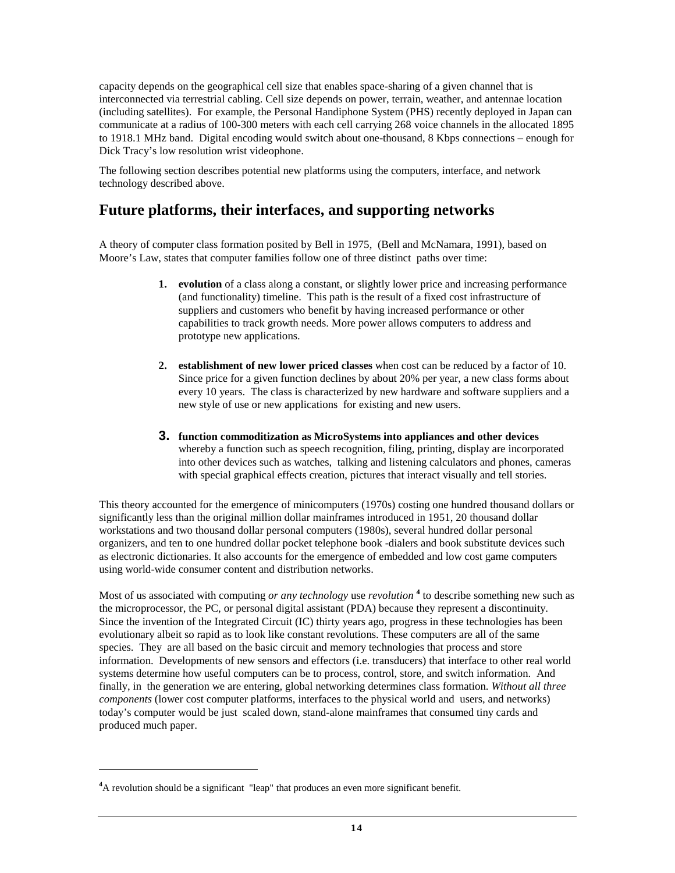capacity depends on the geographical cell size that enables space-sharing of a given channel that is interconnected via terrestrial cabling. Cell size depends on power, terrain, weather, and antennae location (including satellites). For example, the Personal Handiphone System (PHS) recently deployed in Japan can communicate at a radius of 100-300 meters with each cell carrying 268 voice channels in the allocated 1895 to 1918.1 MHz band. Digital encoding would switch about one-thousand, 8 Kbps connections – enough for Dick Tracy's low resolution wrist videophone.

The following section describes potential new platforms using the computers, interface, and network technology described above.

### **Future platforms, their interfaces, and supporting networks**

A theory of computer class formation posited by Bell in 1975, (Bell and McNamara, 1991), based on Moore's Law, states that computer families follow one of three distinct paths over time:

- **1.** evolution of a class along a constant, or slightly lower price and increasing performance (and functionality) timeline. This path is the result of a fixed cost infrastructure of suppliers and customers who benefit by having increased performance or other capabilities to track growth needs. More power allows computers to address and prototype new applications.
- **2. establishment of new lower priced classes** when cost can be reduced by a factor of 10. Since price for a given function declines by about 20% per year, a new class forms about every 10 years. The class is characterized by new hardware and software suppliers and a new style of use or new applications for existing and new users.
- **3. function commoditization as MicroSystems into appliances and other devices** whereby a function such as speech recognition, filing, printing, display are incorporated into other devices such as watches, talking and listening calculators and phones, cameras with special graphical effects creation, pictures that interact visually and tell stories.

This theory accounted for the emergence of minicomputers (1970s) costing one hundred thousand dollars or significantly less than the original million dollar mainframes introduced in 1951, 20 thousand dollar workstations and two thousand dollar personal computers (1980s), several hundred dollar personal organizers, and ten to one hundred dollar pocket telephone book -dialers and book substitute devices such as electronic dictionaries. It also accounts for the emergence of embedded and low cost game computers using world-wide consumer content and distribution networks.

Most of us associated with computing *or any technology* use *revolution*<sup>4</sup> to describe something new such as the microprocessor, the PC, or personal digital assistant (PDA) because they represent a discontinuity. Since the invention of the Integrated Circuit (IC) thirty years ago, progress in these technologies has been evolutionary albeit so rapid as to look like constant revolutions. These computers are all of the same species. They are all based on the basic circuit and memory technologies that process and store information. Developments of new sensors and effectors (i.e. transducers) that interface to other real world systems determine how useful computers can be to process, control, store, and switch information. And finally, in the generation we are entering, global networking determines class formation. *Without all three components* (lower cost computer platforms, interfaces to the physical world and users, and networks) today's computer would be just scaled down, stand-alone mainframes that consumed tiny cards and produced much paper.

 $\overline{a}$ 

<sup>&</sup>lt;sup>4</sup>A revolution should be a significant "leap" that produces an even more significant benefit.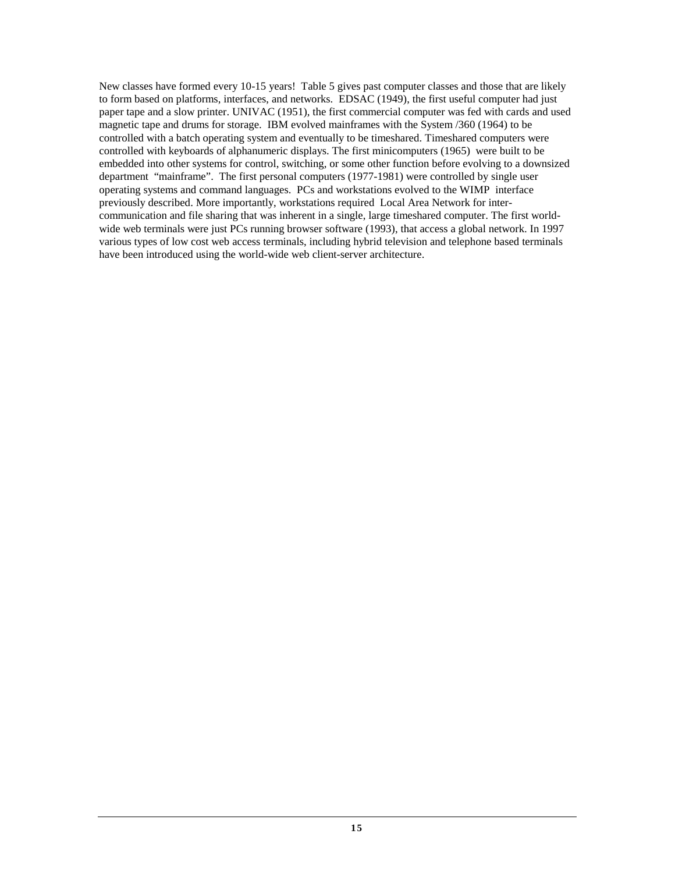New classes have formed every 10-15 years! Table 5 gives past computer classes and those that are likely to form based on platforms, interfaces, and networks. EDSAC (1949), the first useful computer had just paper tape and a slow printer. UNIVAC (1951), the first commercial computer was fed with cards and used magnetic tape and drums for storage. IBM evolved mainframes with the System /360 (1964) to be controlled with a batch operating system and eventually to be timeshared. Timeshared computers were controlled with keyboards of alphanumeric displays. The first minicomputers (1965) were built to be embedded into other systems for control, switching, or some other function before evolving to a downsized department "mainframe". The first personal computers (1977-1981) were controlled by single user operating systems and command languages. PCs and workstations evolved to the WIMP interface previously described. More importantly, workstations required Local Area Network for intercommunication and file sharing that was inherent in a single, large timeshared computer. The first worldwide web terminals were just PCs running browser software (1993), that access a global network. In 1997 various types of low cost web access terminals, including hybrid television and telephone based terminals have been introduced using the world-wide web client-server architecture.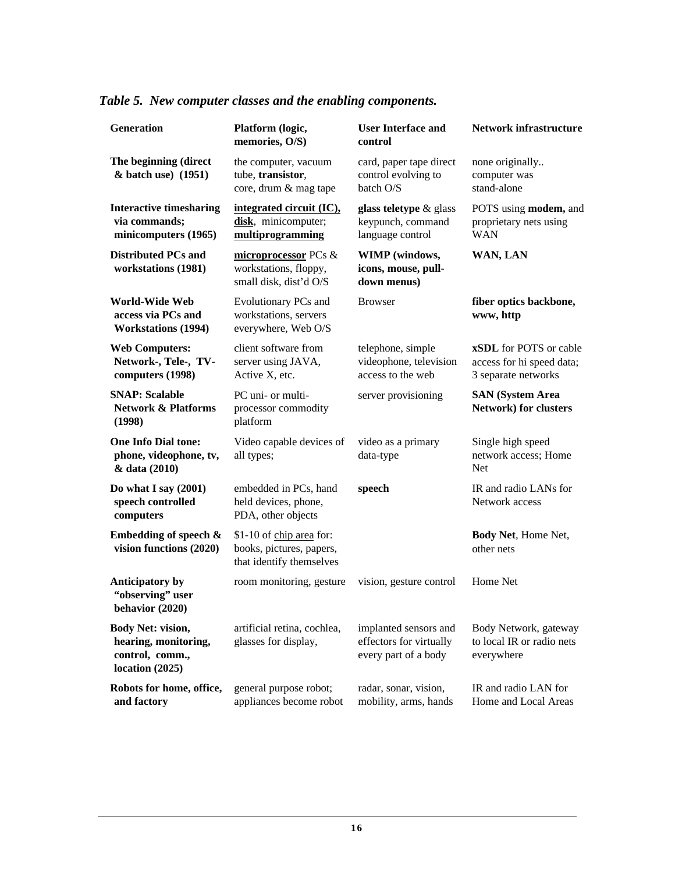# *Table 5. New computer classes and the enabling components.*

| <b>Generation</b>                                                                        | Platform (logic,<br>memories, O/S)                                                                                                     | <b>User Interface and</b><br>control                                     |                                                                                   |
|------------------------------------------------------------------------------------------|----------------------------------------------------------------------------------------------------------------------------------------|--------------------------------------------------------------------------|-----------------------------------------------------------------------------------|
| The beginning (direct<br>& batch use) (1951)                                             | the computer, vacuum<br>tube, transistor,<br>core, drum & mag tape                                                                     | card, paper tape direct<br>control evolving to<br>batch O/S              | none originally<br>computer was<br>stand-alone                                    |
| <b>Interactive timesharing</b><br>via commands;<br>minicomputers (1965)                  | integrated circuit (IC),<br>glass teletype & glass<br>disk, minicomputer;<br>keypunch, command<br>multiprogramming<br>language control |                                                                          | POTS using modem, and<br>proprietary nets using<br><b>WAN</b>                     |
| <b>Distributed PCs and</b><br>workstations (1981)                                        | microprocessor PCs &<br>workstations, floppy,<br>small disk, dist'd O/S                                                                | WIMP (windows,<br>icons, mouse, pull-<br>down menus)                     |                                                                                   |
| World-Wide Web<br>access via PCs and<br><b>Workstations (1994)</b>                       | Evolutionary PCs and<br><b>Browser</b><br>workstations, servers<br>everywhere, Web O/S                                                 |                                                                          | fiber optics backbone,<br>www, http                                               |
| <b>Web Computers:</b><br>Network-, Tele-, TV-<br>computers (1998)                        | client software from<br>server using JAVA,<br>Active X, etc.                                                                           | telephone, simple<br>videophone, television<br>access to the web         | <b>xSDL</b> for POTS or cable<br>access for hi speed data;<br>3 separate networks |
| <b>SNAP: Scalable</b><br><b>Network &amp; Platforms</b><br>(1998)                        | PC uni- or multi-<br>processor commodity<br>platform                                                                                   | server provisioning                                                      | <b>SAN (System Area</b><br><b>Network)</b> for clusters                           |
| <b>One Info Dial tone:</b><br>phone, videophone, tv,<br>& data (2010)                    | Video capable devices of<br>all types;                                                                                                 | video as a primary<br>data-type                                          | Single high speed<br>network access; Home<br>Net                                  |
| Do what I say $(2001)$<br>speech controlled<br>computers                                 | embedded in PCs, hand<br>speech<br>held devices, phone,<br>PDA, other objects                                                          |                                                                          | IR and radio LANs for<br>Network access                                           |
| Embedding of speech &<br>vision functions (2020)                                         | \$1-10 of chip area for:<br>books, pictures, papers,<br>that identify themselves                                                       |                                                                          | Body Net, Home Net,<br>other nets                                                 |
| <b>Anticipatory by</b><br>"observing" user<br>behavior (2020)                            | room monitoring, gesture                                                                                                               | vision, gesture control                                                  | Home Net                                                                          |
| <b>Body Net: vision,</b><br>hearing, monitoring,<br>control, comm.,<br>location $(2025)$ | artificial retina, cochlea,<br>glasses for display,                                                                                    | implanted sensors and<br>effectors for virtually<br>every part of a body | Body Network, gateway<br>to local IR or radio nets<br>everywhere                  |
| Robots for home, office,<br>and factory                                                  | general purpose robot;<br>appliances become robot                                                                                      | radar, sonar, vision,<br>mobility, arms, hands                           | IR and radio LAN for<br>Home and Local Areas                                      |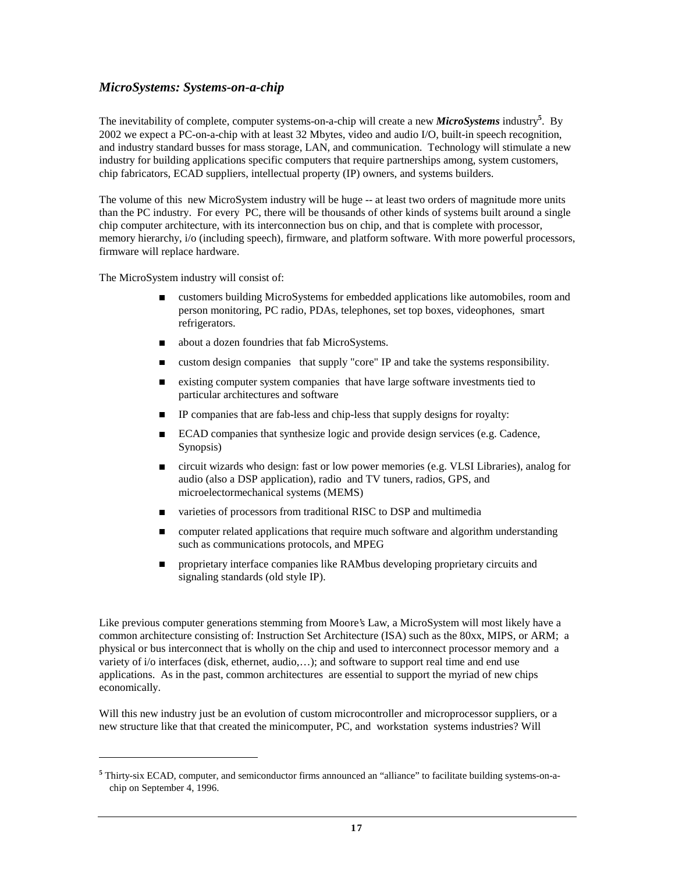### *MicroSystems: Systems-on-a-chip*

The inevitability of complete, computer systems-on-a-chip will create a new *MicroSystems* industry**<sup>5</sup>** . By 2002 we expect a PC-on-a-chip with at least 32 Mbytes, video and audio I/O, built-in speech recognition, and industry standard busses for mass storage, LAN, and communication. Technology will stimulate a new industry for building applications specific computers that require partnerships among, system customers, chip fabricators, ECAD suppliers, intellectual property (IP) owners, and systems builders.

The volume of this new MicroSystem industry will be huge -- at least two orders of magnitude more units than the PC industry. For every PC, there will be thousands of other kinds of systems built around a single chip computer architecture, with its interconnection bus on chip, and that is complete with processor, memory hierarchy, i/o (including speech), firmware, and platform software. With more powerful processors, firmware will replace hardware.

The MicroSystem industry will consist of:

-

- <sup>n</sup> customers building MicroSystems for embedded applications like automobiles, room and person monitoring, PC radio, PDAs, telephones, set top boxes, videophones, smart refrigerators.
- about a dozen foundries that fab MicroSystems.
- <sup>n</sup> custom design companies that supply "core" IP and take the systems responsibility.
- <sup>n</sup> existing computer system companies that have large software investments tied to particular architectures and software
- <sup>n</sup> IP companies that are fab-less and chip-less that supply designs for royalty:
- ECAD companies that synthesize logic and provide design services (e.g. Cadence, Synopsis)
- <sup>n</sup> circuit wizards who design: fast or low power memories (e.g. VLSI Libraries), analog for audio (also a DSP application), radio and TV tuners, radios, GPS, and microelectormechanical systems (MEMS)
- varieties of processors from traditional RISC to DSP and multimedia
- n computer related applications that require much software and algorithm understanding such as communications protocols, and MPEG
- n proprietary interface companies like RAMbus developing proprietary circuits and signaling standards (old style IP).

Like previous computer generations stemming from Moore's Law, a MicroSystem will most likely have a common architecture consisting of: Instruction Set Architecture (ISA) such as the 80xx, MIPS, or ARM; a physical or bus interconnect that is wholly on the chip and used to interconnect processor memory and a variety of i/o interfaces (disk, ethernet, audio,…); and software to support real time and end use applications. As in the past, common architectures are essential to support the myriad of new chips economically.

Will this new industry just be an evolution of custom microcontroller and microprocessor suppliers, or a new structure like that that created the minicomputer, PC, and workstation systems industries? Will

<sup>&</sup>lt;sup>5</sup> Thirty-six ECAD, computer, and semiconductor firms announced an "alliance" to facilitate building systems-on-achip on September 4, 1996.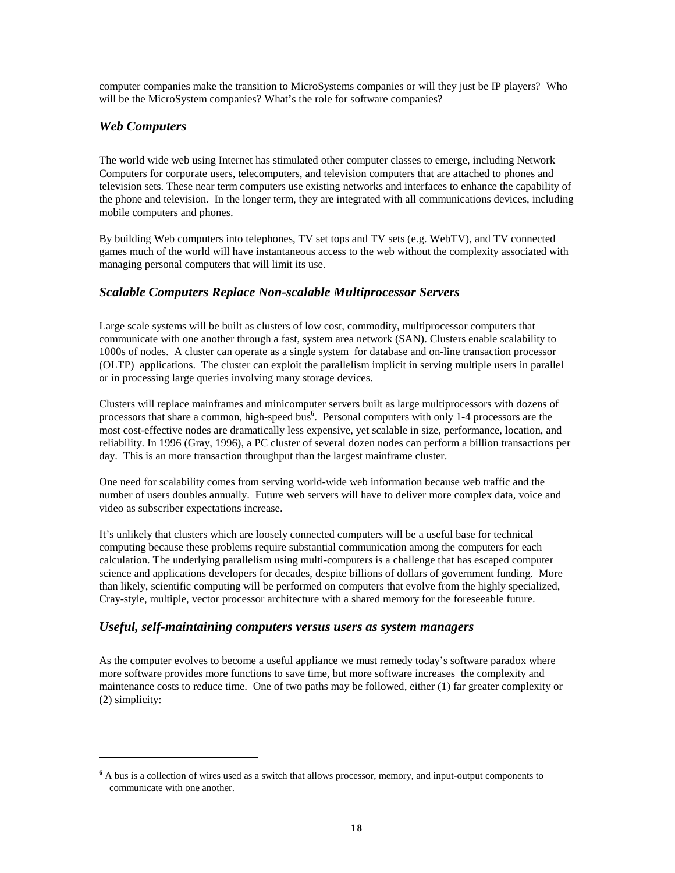computer companies make the transition to MicroSystems companies or will they just be IP players? Who will be the MicroSystem companies? What's the role for software companies?

### *Web Computers*

-

The world wide web using Internet has stimulated other computer classes to emerge, including Network Computers for corporate users, telecomputers, and television computers that are attached to phones and television sets. These near term computers use existing networks and interfaces to enhance the capability of the phone and television. In the longer term, they are integrated with all communications devices, including mobile computers and phones.

By building Web computers into telephones, TV set tops and TV sets (e.g. WebTV), and TV connected games much of the world will have instantaneous access to the web without the complexity associated with managing personal computers that will limit its use.

### *Scalable Computers Replace Non-scalable Multiprocessor Servers*

Large scale systems will be built as clusters of low cost, commodity, multiprocessor computers that communicate with one another through a fast, system area network (SAN). Clusters enable scalability to 1000s of nodes. A cluster can operate as a single system for database and on-line transaction processor (OLTP) applications. The cluster can exploit the parallelism implicit in serving multiple users in parallel or in processing large queries involving many storage devices.

Clusters will replace mainframes and minicomputer servers built as large multiprocessors with dozens of processors that share a common, high-speed bus**<sup>6</sup>** . Personal computers with only 1-4 processors are the most cost-effective nodes are dramatically less expensive, yet scalable in size, performance, location, and reliability. In 1996 (Gray, 1996), a PC cluster of several dozen nodes can perform a billion transactions per day. This is an more transaction throughput than the largest mainframe cluster.

One need for scalability comes from serving world-wide web information because web traffic and the number of users doubles annually. Future web servers will have to deliver more complex data, voice and video as subscriber expectations increase.

It's unlikely that clusters which are loosely connected computers will be a useful base for technical computing because these problems require substantial communication among the computers for each calculation. The underlying parallelism using multi-computers is a challenge that has escaped computer science and applications developers for decades, despite billions of dollars of government funding. More than likely, scientific computing will be performed on computers that evolve from the highly specialized, Cray-style, multiple, vector processor architecture with a shared memory for the foreseeable future.

### *Useful, self-maintaining computers versus users as system managers*

As the computer evolves to become a useful appliance we must remedy today's software paradox where more software provides more functions to save time, but more software increases the complexity and maintenance costs to reduce time. One of two paths may be followed, either (1) far greater complexity or (2) simplicity:

<sup>&</sup>lt;sup>6</sup> A bus is a collection of wires used as a switch that allows processor, memory, and input-output components to communicate with one another.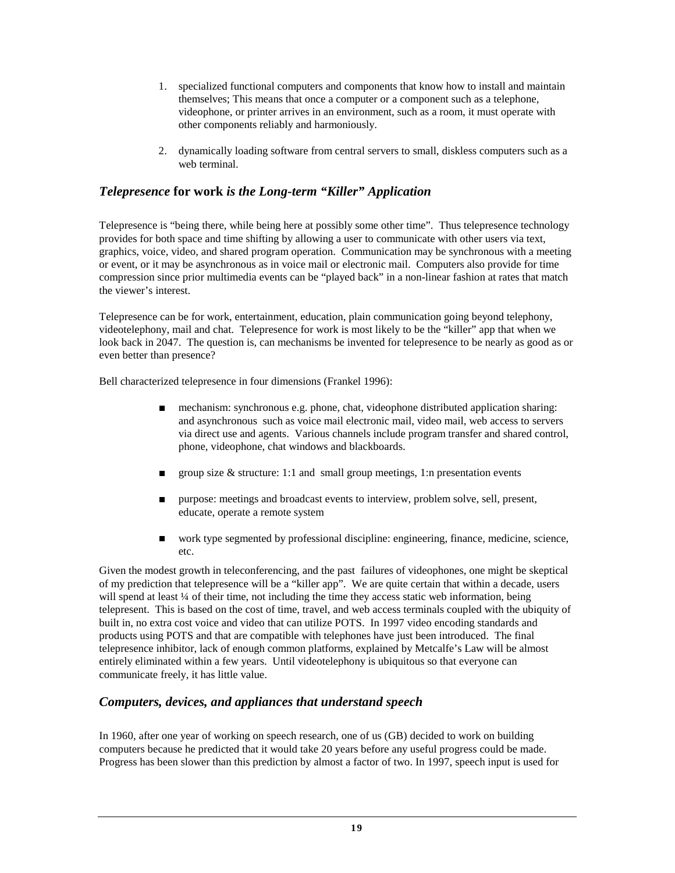- 1. specialized functional computers and components that know how to install and maintain themselves; This means that once a computer or a component such as a telephone, videophone, or printer arrives in an environment, such as a room, it must operate with other components reliably and harmoniously.
- 2. dynamically loading software from central servers to small, diskless computers such as a web terminal.

### *Telepresence* **for work** *is the Long-term "Killer" Application*

Telepresence is "being there, while being here at possibly some other time". Thus telepresence technology provides for both space and time shifting by allowing a user to communicate with other users via text, graphics, voice, video, and shared program operation. Communication may be synchronous with a meeting or event, or it may be asynchronous as in voice mail or electronic mail. Computers also provide for time compression since prior multimedia events can be "played back" in a non-linear fashion at rates that match the viewer's interest.

Telepresence can be for work, entertainment, education, plain communication going beyond telephony, videotelephony, mail and chat. Telepresence for work is most likely to be the "killer" app that when we look back in 2047. The question is, can mechanisms be invented for telepresence to be nearly as good as or even better than presence?

Bell characterized telepresence in four dimensions (Frankel 1996):

- mechanism: synchronous e.g. phone, chat, videophone distributed application sharing: and asynchronous such as voice mail electronic mail, video mail, web access to servers via direct use and agents. Various channels include program transfer and shared control, phone, videophone, chat windows and blackboards.
- group size  $&$  structure: 1:1 and small group meetings, 1:n presentation events
- n purpose: meetings and broadcast events to interview, problem solve, sell, present, educate, operate a remote system
- <sup>n</sup> work type segmented by professional discipline: engineering, finance, medicine, science, etc.

Given the modest growth in teleconferencing, and the past failures of videophones, one might be skeptical of my prediction that telepresence will be a "killer app". We are quite certain that within a decade, users will spend at least ¼ of their time, not including the time they access static web information, being telepresent. This is based on the cost of time, travel, and web access terminals coupled with the ubiquity of built in, no extra cost voice and video that can utilize POTS. In 1997 video encoding standards and products using POTS and that are compatible with telephones have just been introduced. The final telepresence inhibitor, lack of enough common platforms, explained by Metcalfe's Law will be almost entirely eliminated within a few years. Until videotelephony is ubiquitous so that everyone can communicate freely, it has little value.

#### *Computers, devices, and appliances that understand speech*

In 1960, after one year of working on speech research, one of us (GB) decided to work on building computers because he predicted that it would take 20 years before any useful progress could be made. Progress has been slower than this prediction by almost a factor of two. In 1997, speech input is used for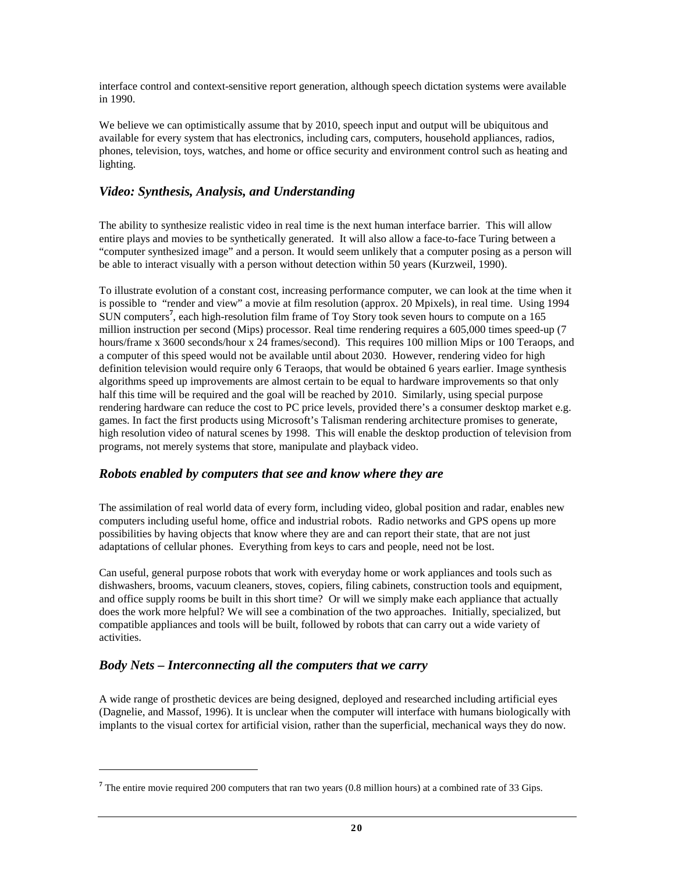interface control and context-sensitive report generation, although speech dictation systems were available in 1990.

We believe we can optimistically assume that by 2010, speech input and output will be ubiquitous and available for every system that has electronics, including cars, computers, household appliances, radios, phones, television, toys, watches, and home or office security and environment control such as heating and lighting.

### *Video: Synthesis, Analysis, and Understanding*

The ability to synthesize realistic video in real time is the next human interface barrier. This will allow entire plays and movies to be synthetically generated. It will also allow a face-to-face Turing between a "computer synthesized image" and a person. It would seem unlikely that a computer posing as a person will be able to interact visually with a person without detection within 50 years (Kurzweil, 1990).

To illustrate evolution of a constant cost, increasing performance computer, we can look at the time when it is possible to "render and view" a movie at film resolution (approx. 20 Mpixels), in real time. Using 1994 SUN computers**<sup>7</sup>** , each high-resolution film frame of Toy Story took seven hours to compute on a 165 million instruction per second (Mips) processor. Real time rendering requires a 605,000 times speed-up (7 hours/frame x 3600 seconds/hour x 24 frames/second). This requires 100 million Mips or 100 Teraops, and a computer of this speed would not be available until about 2030. However, rendering video for high definition television would require only 6 Teraops, that would be obtained 6 years earlier. Image synthesis algorithms speed up improvements are almost certain to be equal to hardware improvements so that only half this time will be required and the goal will be reached by 2010. Similarly, using special purpose rendering hardware can reduce the cost to PC price levels, provided there's a consumer desktop market e.g. games. In fact the first products using Microsoft's Talisman rendering architecture promises to generate, high resolution video of natural scenes by 1998. This will enable the desktop production of television from programs, not merely systems that store, manipulate and playback video.

### *Robots enabled by computers that see and know where they are*

The assimilation of real world data of every form, including video, global position and radar, enables new computers including useful home, office and industrial robots. Radio networks and GPS opens up more possibilities by having objects that know where they are and can report their state, that are not just adaptations of cellular phones. Everything from keys to cars and people, need not be lost.

Can useful, general purpose robots that work with everyday home or work appliances and tools such as dishwashers, brooms, vacuum cleaners, stoves, copiers, filing cabinets, construction tools and equipment, and office supply rooms be built in this short time? Or will we simply make each appliance that actually does the work more helpful? We will see a combination of the two approaches. Initially, specialized, but compatible appliances and tools will be built, followed by robots that can carry out a wide variety of activities.

### *Body Nets – Interconnecting all the computers that we carry*

 $\overline{a}$ 

A wide range of prosthetic devices are being designed, deployed and researched including artificial eyes (Dagnelie, and Massof, 1996). It is unclear when the computer will interface with humans biologically with implants to the visual cortex for artificial vision, rather than the superficial, mechanical ways they do now.

**<sup>7</sup>** The entire movie required 200 computers that ran two years (0.8 million hours) at a combined rate of 33 Gips.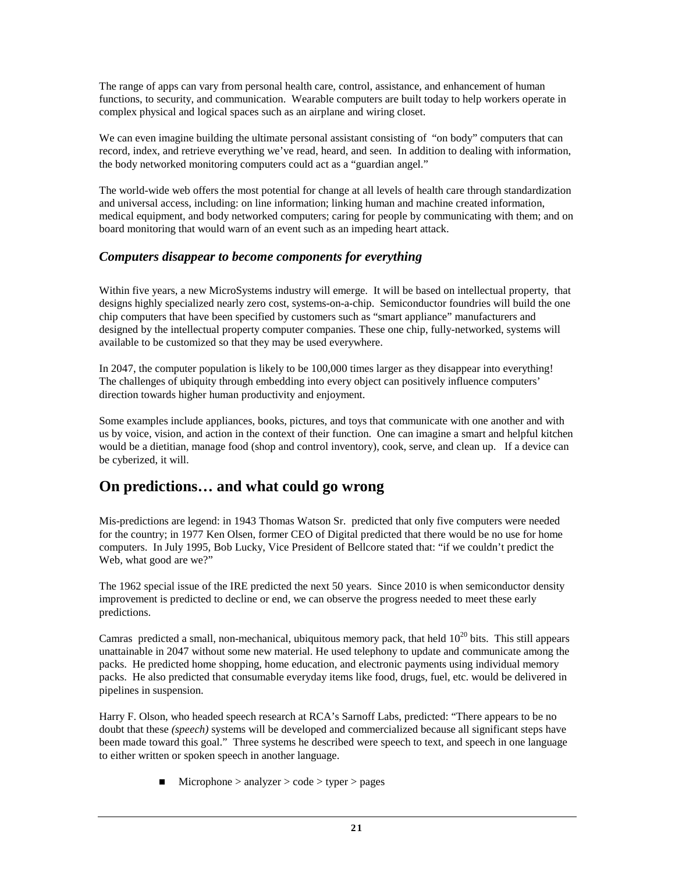The range of apps can vary from personal health care, control, assistance, and enhancement of human functions, to security, and communication. Wearable computers are built today to help workers operate in complex physical and logical spaces such as an airplane and wiring closet.

We can even imagine building the ultimate personal assistant consisting of "on body" computers that can record, index, and retrieve everything we've read, heard, and seen. In addition to dealing with information, the body networked monitoring computers could act as a "guardian angel."

The world-wide web offers the most potential for change at all levels of health care through standardization and universal access, including: on line information; linking human and machine created information, medical equipment, and body networked computers; caring for people by communicating with them; and on board monitoring that would warn of an event such as an impeding heart attack.

### *Computers disappear to become components for everything*

Within five years, a new MicroSystems industry will emerge. It will be based on intellectual property, that designs highly specialized nearly zero cost, systems-on-a-chip. Semiconductor foundries will build the one chip computers that have been specified by customers such as "smart appliance" manufacturers and designed by the intellectual property computer companies. These one chip, fully-networked, systems will available to be customized so that they may be used everywhere.

In 2047, the computer population is likely to be 100,000 times larger as they disappear into everything! The challenges of ubiquity through embedding into every object can positively influence computers' direction towards higher human productivity and enjoyment.

Some examples include appliances, books, pictures, and toys that communicate with one another and with us by voice, vision, and action in the context of their function. One can imagine a smart and helpful kitchen would be a dietitian, manage food (shop and control inventory), cook, serve, and clean up. If a device can be cyberized, it will.

# **On predictions… and what could go wrong**

Mis-predictions are legend: in 1943 Thomas Watson Sr. predicted that only five computers were needed for the country; in 1977 Ken Olsen, former CEO of Digital predicted that there would be no use for home computers. In July 1995, Bob Lucky, Vice President of Bellcore stated that: "if we couldn't predict the Web, what good are we?"

The 1962 special issue of the IRE predicted the next 50 years. Since 2010 is when semiconductor density improvement is predicted to decline or end, we can observe the progress needed to meet these early predictions.

Camras predicted a small, non-mechanical, ubiquitous memory pack, that held  $10^{20}$  bits. This still appears unattainable in 2047 without some new material. He used telephony to update and communicate among the packs. He predicted home shopping, home education, and electronic payments using individual memory packs. He also predicted that consumable everyday items like food, drugs, fuel, etc. would be delivered in pipelines in suspension.

Harry F. Olson, who headed speech research at RCA's Sarnoff Labs, predicted: "There appears to be no doubt that these *(speech)* systems will be developed and commercialized because all significant steps have been made toward this goal." Three systems he described were speech to text, and speech in one language to either written or spoken speech in another language.

 $\blacksquare$  Microphone > analyzer > code > typer > pages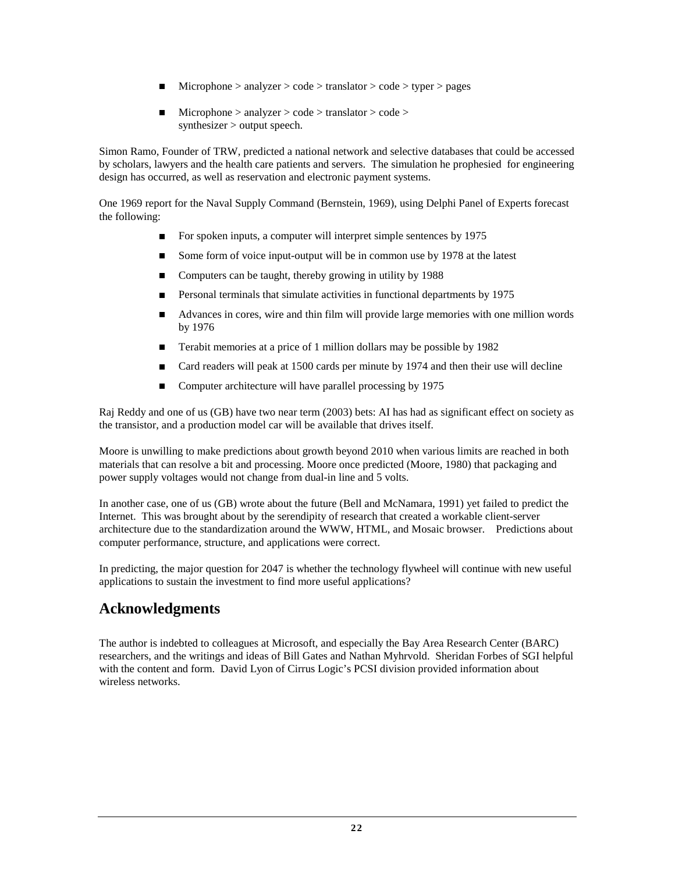- $Microphone > analyzer > code > translation > code > type r > pages$
- $Microphone > analyzer > code > translation > code >$ synthesizer > output speech.

Simon Ramo, Founder of TRW, predicted a national network and selective databases that could be accessed by scholars, lawyers and the health care patients and servers. The simulation he prophesied for engineering design has occurred, as well as reservation and electronic payment systems.

One 1969 report for the Naval Supply Command (Bernstein, 1969), using Delphi Panel of Experts forecast the following:

- For spoken inputs, a computer will interpret simple sentences by 1975
- Some form of voice input-output will be in common use by 1978 at the latest
- $\blacksquare$  Computers can be taught, thereby growing in utility by 1988
- **n** Personal terminals that simulate activities in functional departments by 1975
- <sup>n</sup> Advances in cores, wire and thin film will provide large memories with one million words by 1976
- **n** Terabit memories at a price of 1 million dollars may be possible by  $1982$
- Card readers will peak at 1500 cards per minute by 1974 and then their use will decline
- Computer architecture will have parallel processing by 1975

Raj Reddy and one of us (GB) have two near term (2003) bets: AI has had as significant effect on society as the transistor, and a production model car will be available that drives itself.

Moore is unwilling to make predictions about growth beyond 2010 when various limits are reached in both materials that can resolve a bit and processing. Moore once predicted (Moore, 1980) that packaging and power supply voltages would not change from dual-in line and 5 volts.

In another case, one of us (GB) wrote about the future (Bell and McNamara, 1991) yet failed to predict the Internet. This was brought about by the serendipity of research that created a workable client-server architecture due to the standardization around the WWW, HTML, and Mosaic browser. Predictions about computer performance, structure, and applications were correct.

In predicting, the major question for 2047 is whether the technology flywheel will continue with new useful applications to sustain the investment to find more useful applications?

# **Acknowledgments**

The author is indebted to colleagues at Microsoft, and especially the Bay Area Research Center (BARC) researchers, and the writings and ideas of Bill Gates and Nathan Myhrvold. Sheridan Forbes of SGI helpful with the content and form. David Lyon of Cirrus Logic's PCSI division provided information about wireless networks.